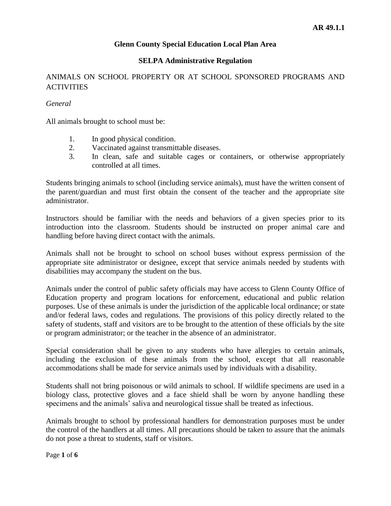#### **SELPA Administrative Regulation**

## ANIMALS ON SCHOOL PROPERTY OR AT SCHOOL SPONSORED PROGRAMS AND **ACTIVITIES**

#### *General*

All animals brought to school must be:

- 1. In good physical condition.
- 2. Vaccinated against transmittable diseases.
- 3. In clean, safe and suitable cages or containers, or otherwise appropriately controlled at all times.

Students bringing animals to school (including service animals), must have the written consent of the parent/guardian and must first obtain the consent of the teacher and the appropriate site administrator.

Instructors should be familiar with the needs and behaviors of a given species prior to its introduction into the classroom. Students should be instructed on proper animal care and handling before having direct contact with the animals.

Animals shall not be brought to school on school buses without express permission of the appropriate site administrator or designee, except that service animals needed by students with disabilities may accompany the student on the bus.

Animals under the control of public safety officials may have access to Glenn County Office of Education property and program locations for enforcement, educational and public relation purposes. Use of these animals is under the jurisdiction of the applicable local ordinance; or state and/or federal laws, codes and regulations. The provisions of this policy directly related to the safety of students, staff and visitors are to be brought to the attention of these officials by the site or program administrator; or the teacher in the absence of an administrator.

Special consideration shall be given to any students who have allergies to certain animals, including the exclusion of these animals from the school, except that all reasonable accommodations shall be made for service animals used by individuals with a disability.

Students shall not bring poisonous or wild animals to school. If wildlife specimens are used in a biology class, protective gloves and a face shield shall be worn by anyone handling these specimens and the animals' saliva and neurological tissue shall be treated as infectious.

Animals brought to school by professional handlers for demonstration purposes must be under the control of the handlers at all times. All precautions should be taken to assure that the animals do not pose a threat to students, staff or visitors.

Page **1** of **6**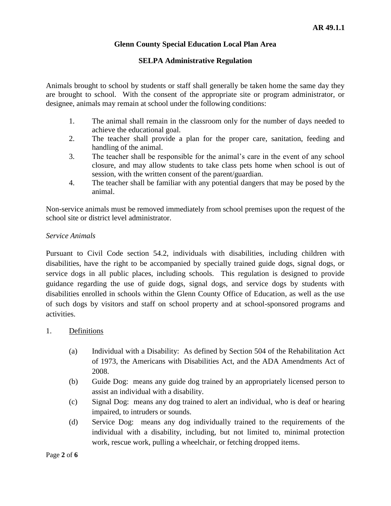#### **SELPA Administrative Regulation**

Animals brought to school by students or staff shall generally be taken home the same day they are brought to school. With the consent of the appropriate site or program administrator, or designee, animals may remain at school under the following conditions:

- 1. The animal shall remain in the classroom only for the number of days needed to achieve the educational goal.
- 2. The teacher shall provide a plan for the proper care, sanitation, feeding and handling of the animal.
- 3. The teacher shall be responsible for the animal's care in the event of any school closure, and may allow students to take class pets home when school is out of session, with the written consent of the parent/guardian.
- 4. The teacher shall be familiar with any potential dangers that may be posed by the animal.

Non-service animals must be removed immediately from school premises upon the request of the school site or district level administrator.

#### *Service Animals*

Pursuant to Civil Code section 54.2, individuals with disabilities, including children with disabilities, have the right to be accompanied by specially trained guide dogs, signal dogs, or service dogs in all public places, including schools. This regulation is designed to provide guidance regarding the use of guide dogs, signal dogs, and service dogs by students with disabilities enrolled in schools within the Glenn County Office of Education, as well as the use of such dogs by visitors and staff on school property and at school-sponsored programs and activities.

## 1. Definitions

- (a) Individual with a Disability: As defined by Section 504 of the Rehabilitation Act of 1973, the Americans with Disabilities Act, and the ADA Amendments Act of 2008.
- (b) Guide Dog: means any guide dog trained by an appropriately licensed person to assist an individual with a disability.
- (c) Signal Dog: means any dog trained to alert an individual, who is deaf or hearing impaired, to intruders or sounds.
- (d) Service Dog: means any dog individually trained to the requirements of the individual with a disability, including, but not limited to, minimal protection work, rescue work, pulling a wheelchair, or fetching dropped items.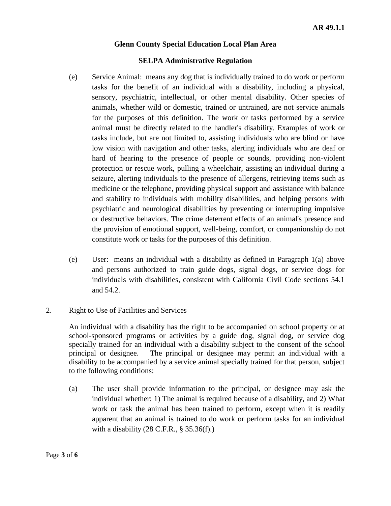#### **SELPA Administrative Regulation**

- (e) Service Animal: means any dog that is individually trained to do work or perform tasks for the benefit of an individual with a disability, including a physical, sensory, psychiatric, intellectual, or other mental disability. Other species of animals, whether wild or domestic, trained or untrained, are not service animals for the purposes of this definition. The work or tasks performed by a service animal must be directly related to the handler's disability. Examples of work or tasks include, but are not limited to, assisting individuals who are blind or have low vision with navigation and other tasks, alerting individuals who are deaf or hard of hearing to the presence of people or sounds, providing non-violent protection or rescue work, pulling a wheelchair, assisting an individual during a seizure, alerting individuals to the presence of allergens, retrieving items such as medicine or the telephone, providing physical support and assistance with balance and stability to individuals with mobility disabilities, and helping persons with psychiatric and neurological disabilities by preventing or interrupting impulsive or destructive behaviors. The crime deterrent effects of an animal's presence and the provision of emotional support, well-being, comfort, or companionship do not constitute work or tasks for the purposes of this definition.
- (e) User: means an individual with a disability as defined in Paragraph 1(a) above and persons authorized to train guide dogs, signal dogs, or service dogs for individuals with disabilities, consistent with California Civil Code sections 54.1 and 54.2.

#### 2. Right to Use of Facilities and Services

An individual with a disability has the right to be accompanied on school property or at school-sponsored programs or activities by a guide dog, signal dog, or service dog specially trained for an individual with a disability subject to the consent of the school principal or designee. The principal or designee may permit an individual with a disability to be accompanied by a service animal specially trained for that person, subject to the following conditions:

(a) The user shall provide information to the principal, or designee may ask the individual whether: 1) The animal is required because of a disability, and 2) What work or task the animal has been trained to perform, except when it is readily apparent that an animal is trained to do work or perform tasks for an individual with a disability  $(28 \text{ C.F.R.}, \S 35.36(f).)$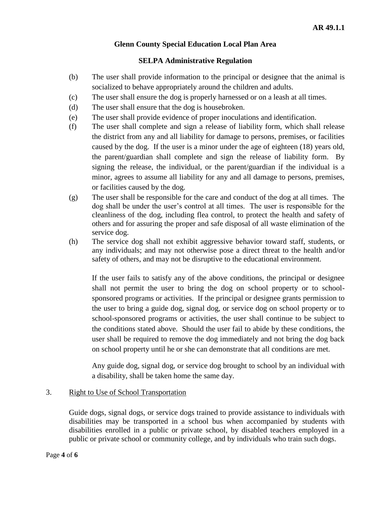#### **SELPA Administrative Regulation**

- (b) The user shall provide information to the principal or designee that the animal is socialized to behave appropriately around the children and adults.
- (c) The user shall ensure the dog is properly harnessed or on a leash at all times.
- (d) The user shall ensure that the dog is housebroken.
- (e) The user shall provide evidence of proper inoculations and identification.
- (f) The user shall complete and sign a release of liability form, which shall release the district from any and all liability for damage to persons, premises, or facilities caused by the dog. If the user is a minor under the age of eighteen (18) years old, the parent/guardian shall complete and sign the release of liability form. By signing the release, the individual, or the parent/guardian if the individual is a minor, agrees to assume all liability for any and all damage to persons, premises, or facilities caused by the dog.
- (g) The user shall be responsible for the care and conduct of the dog at all times. The dog shall be under the user's control at all times. The user is responsible for the cleanliness of the dog, including flea control, to protect the health and safety of others and for assuring the proper and safe disposal of all waste elimination of the service dog.
- (h) The service dog shall not exhibit aggressive behavior toward staff, students, or any individuals; and may not otherwise pose a direct threat to the health and/or safety of others, and may not be disruptive to the educational environment.

If the user fails to satisfy any of the above conditions, the principal or designee shall not permit the user to bring the dog on school property or to schoolsponsored programs or activities. If the principal or designee grants permission to the user to bring a guide dog, signal dog, or service dog on school property or to school-sponsored programs or activities, the user shall continue to be subject to the conditions stated above. Should the user fail to abide by these conditions, the user shall be required to remove the dog immediately and not bring the dog back on school property until he or she can demonstrate that all conditions are met.

Any guide dog, signal dog, or service dog brought to school by an individual with a disability, shall be taken home the same day.

#### 3. Right to Use of School Transportation

Guide dogs, signal dogs, or service dogs trained to provide assistance to individuals with disabilities may be transported in a school bus when accompanied by students with disabilities enrolled in a public or private school, by disabled teachers employed in a public or private school or community college, and by individuals who train such dogs.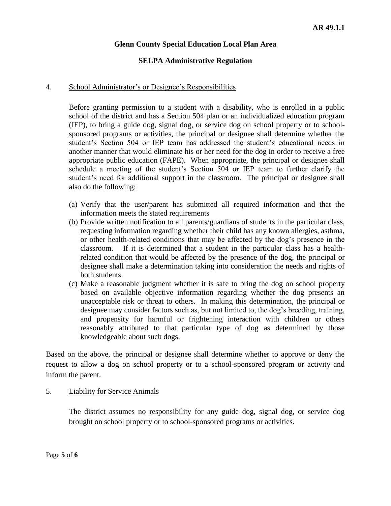#### **SELPA Administrative Regulation**

#### 4. School Administrator's or Designee's Responsibilities

Before granting permission to a student with a disability, who is enrolled in a public school of the district and has a Section 504 plan or an individualized education program (IEP), to bring a guide dog, signal dog, or service dog on school property or to schoolsponsored programs or activities, the principal or designee shall determine whether the student's Section 504 or IEP team has addressed the student's educational needs in another manner that would eliminate his or her need for the dog in order to receive a free appropriate public education (FAPE). When appropriate, the principal or designee shall schedule a meeting of the student's Section 504 or IEP team to further clarify the student's need for additional support in the classroom. The principal or designee shall also do the following:

- (a) Verify that the user/parent has submitted all required information and that the information meets the stated requirements
- (b) Provide written notification to all parents/guardians of students in the particular class, requesting information regarding whether their child has any known allergies, asthma, or other health-related conditions that may be affected by the dog's presence in the classroom. If it is determined that a student in the particular class has a healthrelated condition that would be affected by the presence of the dog, the principal or designee shall make a determination taking into consideration the needs and rights of both students.
- (c) Make a reasonable judgment whether it is safe to bring the dog on school property based on available objective information regarding whether the dog presents an unacceptable risk or threat to others. In making this determination, the principal or designee may consider factors such as, but not limited to, the dog's breeding, training, and propensity for harmful or frightening interaction with children or others reasonably attributed to that particular type of dog as determined by those knowledgeable about such dogs.

Based on the above, the principal or designee shall determine whether to approve or deny the request to allow a dog on school property or to a school-sponsored program or activity and inform the parent.

#### 5. Liability for Service Animals

The district assumes no responsibility for any guide dog, signal dog, or service dog brought on school property or to school-sponsored programs or activities.